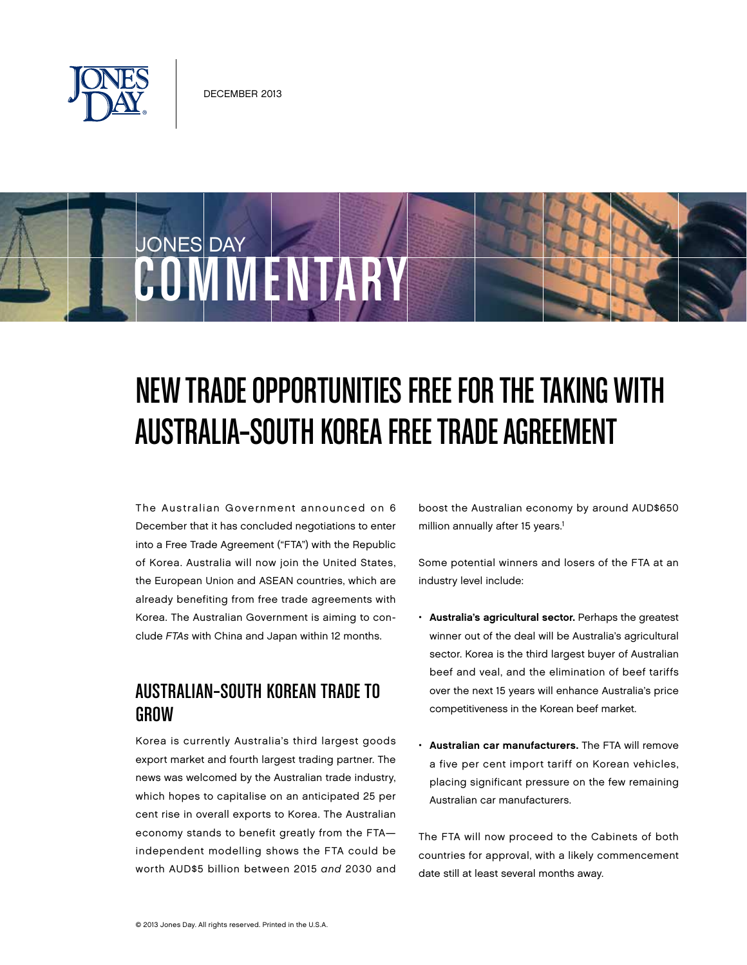

JONES DAY

# New Trade Opportunities Free for the Taking with Australia–South Korea Free Trade Agreement

The Australian Government announced on 6 December that it has concluded negotiations to enter into a Free Trade Agreement ("FTA") with the Republic of Korea. Australia will now join the United States, the European Union and ASEAN countries, which are already benefiting from free trade agreements with Korea. The Australian Government is aiming to conclude *FTAs* with China and Japan within 12 months.

COMMENTARY

### Australian–South Korean Trade to GROW

Korea is currently Australia's third largest goods export market and fourth largest trading partner. The news was welcomed by the Australian trade industry, which hopes to capitalise on an anticipated 25 per cent rise in overall exports to Korea. The Australian economy stands to benefit greatly from the FTA independent modelling shows the FTA could be worth AUD\$5 billion between 2015 *and* 2030 and boost the Australian economy by around AUD\$650 million annually after 15 years.<sup>1</sup>

Some potential winners and losers of the FTA at an industry level include:

- Australia's agricultural sector. Perhaps the greatest winner out of the deal will be Australia's agricultural sector. Korea is the third largest buyer of Australian beef and veal, and the elimination of beef tariffs over the next 15 years will enhance Australia's price competitiveness in the Korean beef market.
- Australian car manufacturers. The FTA will remove a five per cent import tariff on Korean vehicles, placing significant pressure on the few remaining Australian car manufacturers.

The FTA will now proceed to the Cabinets of both countries for approval, with a likely commencement date still at least several months away.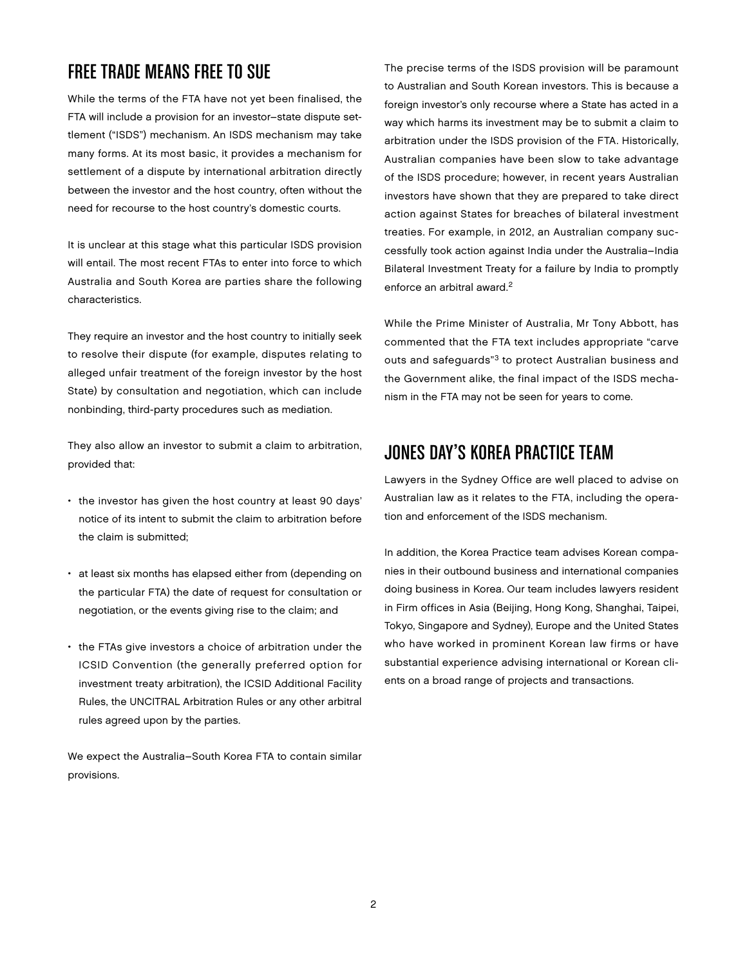## Free Trade Means Free to Sue

While the terms of the FTA have not yet been finalised, the FTA will include a provision for an investor–state dispute settlement ("ISDS") mechanism. An ISDS mechanism may take many forms. At its most basic, it provides a mechanism for settlement of a dispute by international arbitration directly between the investor and the host country, often without the need for recourse to the host country's domestic courts.

It is unclear at this stage what this particular ISDS provision will entail. The most recent FTAs to enter into force to which Australia and South Korea are parties share the following characteristics.

They require an investor and the host country to initially seek to resolve their dispute (for example, disputes relating to alleged unfair treatment of the foreign investor by the host State) by consultation and negotiation, which can include nonbinding, third-party procedures such as mediation.

They also allow an investor to submit a claim to arbitration, provided that:

- the investor has given the host country at least 90 days' notice of its intent to submit the claim to arbitration before the claim is submitted;
- at least six months has elapsed either from (depending on the particular FTA) the date of request for consultation or negotiation, or the events giving rise to the claim; and
- the FTAs give investors a choice of arbitration under the ICSID Convention (the generally preferred option for investment treaty arbitration), the ICSID Additional Facility Rules, the UNCITRAL Arbitration Rules or any other arbitral rules agreed upon by the parties.

We expect the Australia–South Korea FTA to contain similar provisions.

The precise terms of the ISDS provision will be paramount to Australian and South Korean investors. This is because a foreign investor's only recourse where a State has acted in a way which harms its investment may be to submit a claim to arbitration under the ISDS provision of the FTA. Historically, Australian companies have been slow to take advantage of the ISDS procedure; however, in recent years Australian investors have shown that they are prepared to take direct action against States for breaches of bilateral investment treaties. For example, in 2012, an Australian company successfully took action against India under the Australia–India Bilateral Investment Treaty for a failure by India to promptly enforce an arbitral award.<sup>2</sup>

While the Prime Minister of Australia, Mr Tony Abbott, has commented that the FTA text includes appropriate "carve outs and safeguards"3 to protect Australian business and the Government alike, the final impact of the ISDS mechanism in the FTA may not be seen for years to come.

### Jones Day's Korea Practice Team

Lawyers in the Sydney Office are well placed to advise on Australian law as it relates to the FTA, including the operation and enforcement of the ISDS mechanism.

In addition, the Korea Practice team advises Korean companies in their outbound business and international companies doing business in Korea. Our team includes lawyers resident in Firm offices in Asia (Beijing, Hong Kong, Shanghai, Taipei, Tokyo, Singapore and Sydney), Europe and the United States who have worked in prominent Korean law firms or have substantial experience advising international or Korean clients on a broad range of projects and transactions.